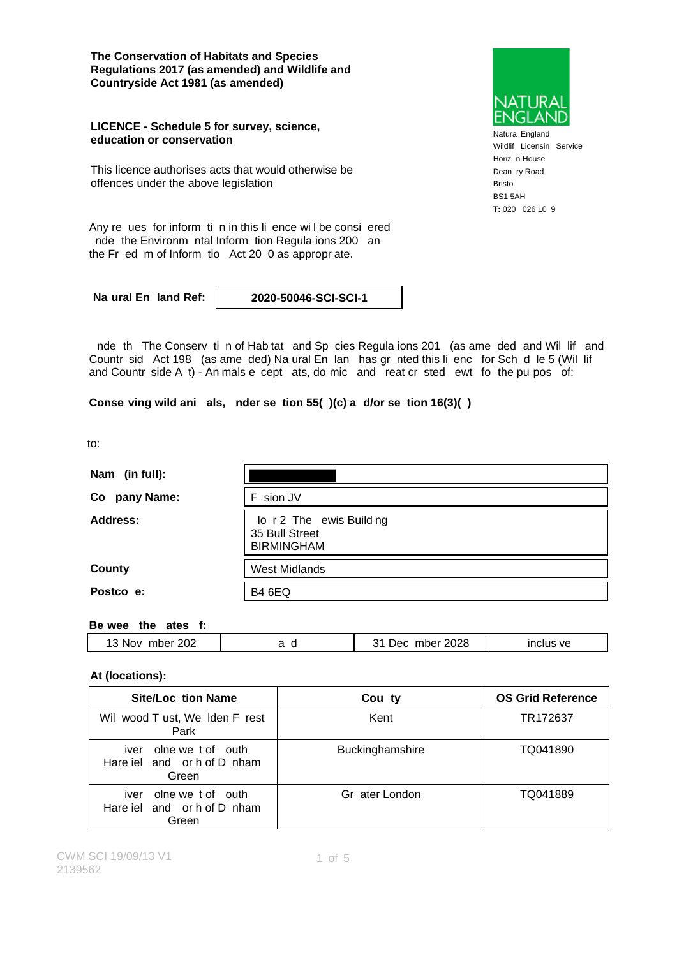**The Conservation of Habitats and Species Regulations 2017 (as amended) and Wildlife and Countryside Act 1981 (as amended)**

#### **LICENCE - Schedule 5 for survey, science, education or conservation**

This licence authorises acts that would otherwise be offences under the above legislation



Natura England Wildlif Licensin Service Horiz n House Dean ry Road Bristo BS1 5AH **T:** 020 026 10 9

Any re ues for inform ti n in this li ence wi l be consi ered nde the Environm ntal Inform tion Regula ions 200 an the Fr ed m of Inform tio Act 20 0 as appropr ate.

**Na ural En land Ref: 2020-50046-SCI-SCI-1**

nde th The Conserv ti n of Hab tat and Sp cies Regula ions 201 (as ame ded and Wil lif and Countr sid Act 198 (as ame ded) Na ural En lan has gr nted this li enc for Sch d le 5 (Wil lif and Countr side A t) - An mals e cept ats, do mic and reat cr sted ewt fo the pu pos of:

**Conse ving wild ani als, nder se tion 55( )(c) a d/or se tion 16(3)( )**

to:

| Nam (in full): |                                                                 |  |
|----------------|-----------------------------------------------------------------|--|
| Co pany Name:  | F sion JV                                                       |  |
| Address:       | lo r 2 The ewis Build ng<br>35 Bull Street<br><b>BIRMINGHAM</b> |  |
| <b>County</b>  | <b>West Midlands</b>                                            |  |
| Postco e:      | <b>B4 6EQ</b>                                                   |  |

#### **Be wee the ates f:**

| 202  |     | 2028 | ` ve |
|------|-----|------|------|
| าer  | . . | Dec  |      |
| .Nov | ∼   | mne  |      |
|      |     |      |      |

### **At (locations):**

| <b>Site/Loc</b> tion Name                                         | Cou ty          | <b>OS Grid Reference</b> |
|-------------------------------------------------------------------|-----------------|--------------------------|
| Wil wood T ust, We Iden F rest<br>Park                            | Kent            | TR172637                 |
| olne we t of outh<br>iver<br>Hare iel and or h of D nham<br>Green | Buckinghamshire | TQ041890                 |
| olne we to fouth<br>iver<br>Hare iel and or h of D nham<br>Green  | Gr ater London  | TQ041889                 |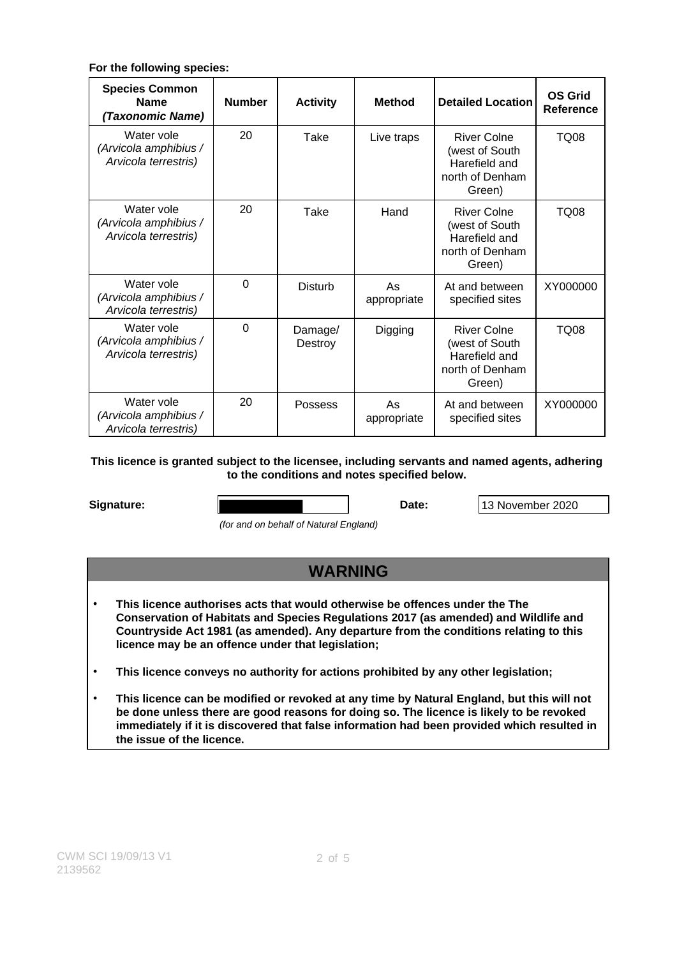### **For the following species:**

| <b>Species Common</b><br><b>Name</b><br>(Taxonomic Name)    | <b>Number</b> | <b>Activity</b>    | <b>Method</b>     | <b>Detailed Location</b>                                                           | <b>OS Grid</b><br>Reference |
|-------------------------------------------------------------|---------------|--------------------|-------------------|------------------------------------------------------------------------------------|-----------------------------|
| Water vole<br>(Arvicola amphibius /<br>Arvicola terrestris) | 20            | Take               | Live traps        | <b>River Colne</b><br>(west of South<br>Harefield and<br>north of Denham<br>Green) | <b>TQ08</b>                 |
| Water vole<br>(Arvicola amphibius /<br>Arvicola terrestris) | 20            | Take               | Hand              | <b>River Colne</b><br>(west of South<br>Harefield and<br>north of Denham<br>Green) | TQ08                        |
| Water vole<br>(Arvicola amphibius /<br>Arvicola terrestris) | $\Omega$      | <b>Disturb</b>     | As<br>appropriate | At and between<br>specified sites                                                  | XY000000                    |
| Water vole<br>(Arvicola amphibius /<br>Arvicola terrestris) | $\Omega$      | Damage/<br>Destroy | Digging           | River Colne<br>(west of South<br>Harefield and<br>north of Denham<br>Green)        | TQ08                        |
| Water vole<br>(Arvicola amphibius /<br>Arvicola terrestris) | 20            | Possess            | As<br>appropriate | At and between<br>specified sites                                                  | XY000000                    |

### **This licence is granted subject to the licensee, including servants and named agents, adhering to the conditions and notes specified below.**

| Signature: | Date | 13 November 2020 |
|------------|------|------------------|

(for and on behalf of Natural England)

## **WARNING**

- **This licence authorises acts that would otherwise be offences under the The Conservation of Habitats and Species Regulations 2017 (as amended) and Wildlife and Countryside Act 1981 (as amended). Any departure from the conditions relating to this licence may be an offence under that legislation;**
- **This licence conveys no authority for actions prohibited by any other legislation;**
- **This licence can be modified or revoked at any time by Natural England, but this will not be done unless there are good reasons for doing so. The licence is likely to be revoked immediately if it is discovered that false information had been provided which resulted in the issue of the licence.**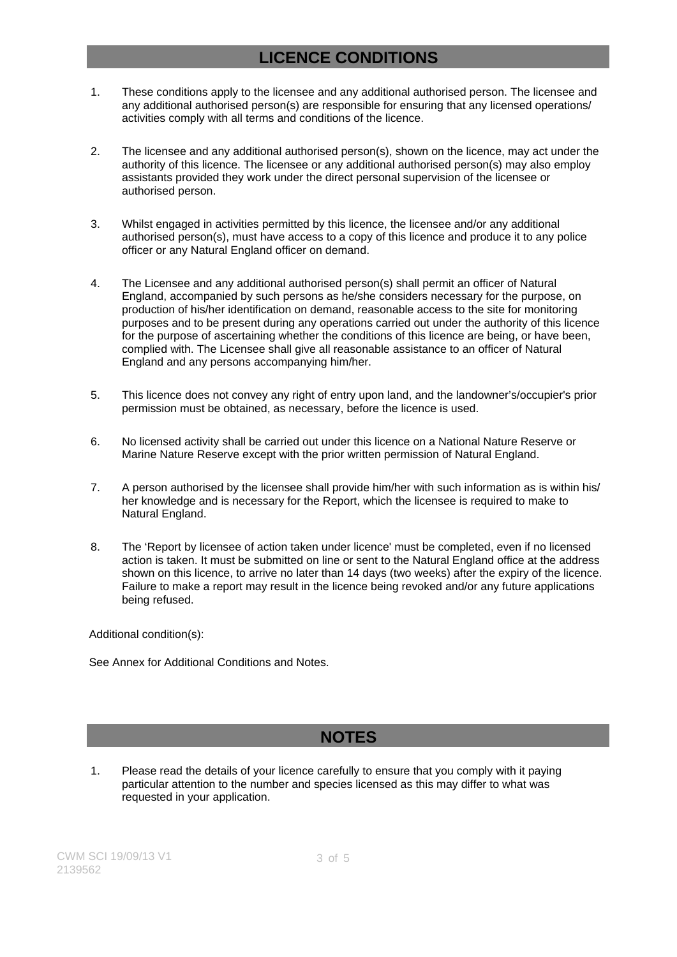### **LICENCE CONDITIONS**

- 1. These conditions apply to the licensee and any additional authorised person. The licensee and any additional authorised person(s) are responsible for ensuring that any licensed operations/ activities comply with all terms and conditions of the licence.
- 2. The licensee and any additional authorised person(s), shown on the licence, may act under the authority of this licence. The licensee or any additional authorised person(s) may also employ assistants provided they work under the direct personal supervision of the licensee or authorised person.
- 3. Whilst engaged in activities permitted by this licence, the licensee and/or any additional authorised person(s), must have access to a copy of this licence and produce it to any police officer or any Natural England officer on demand.
- 4. The Licensee and any additional authorised person(s) shall permit an officer of Natural England, accompanied by such persons as he/she considers necessary for the purpose, on production of his/her identification on demand, reasonable access to the site for monitoring purposes and to be present during any operations carried out under the authority of this licence for the purpose of ascertaining whether the conditions of this licence are being, or have been, complied with. The Licensee shall give all reasonable assistance to an officer of Natural England and any persons accompanying him/her.
- 5. This licence does not convey any right of entry upon land, and the landowner's/occupier's prior permission must be obtained, as necessary, before the licence is used.
- 6. No licensed activity shall be carried out under this licence on a National Nature Reserve or Marine Nature Reserve except with the prior written permission of Natural England.
- 7. A person authorised by the licensee shall provide him/her with such information as is within his/ her knowledge and is necessary for the Report, which the licensee is required to make to Natural England.
- 8. The 'Report by licensee of action taken under licence' must be completed, even if no licensed action is taken. It must be submitted on line or sent to the Natural England office at the address shown on this licence, to arrive no later than 14 days (two weeks) after the expiry of the licence. Failure to make a report may result in the licence being revoked and/or any future applications being refused.

Additional condition(s):

See Annex for Additional Conditions and Notes.

### **NOTES**

1. Please read the details of your licence carefully to ensure that you comply with it paying particular attention to the number and species licensed as this may differ to what was requested in your application.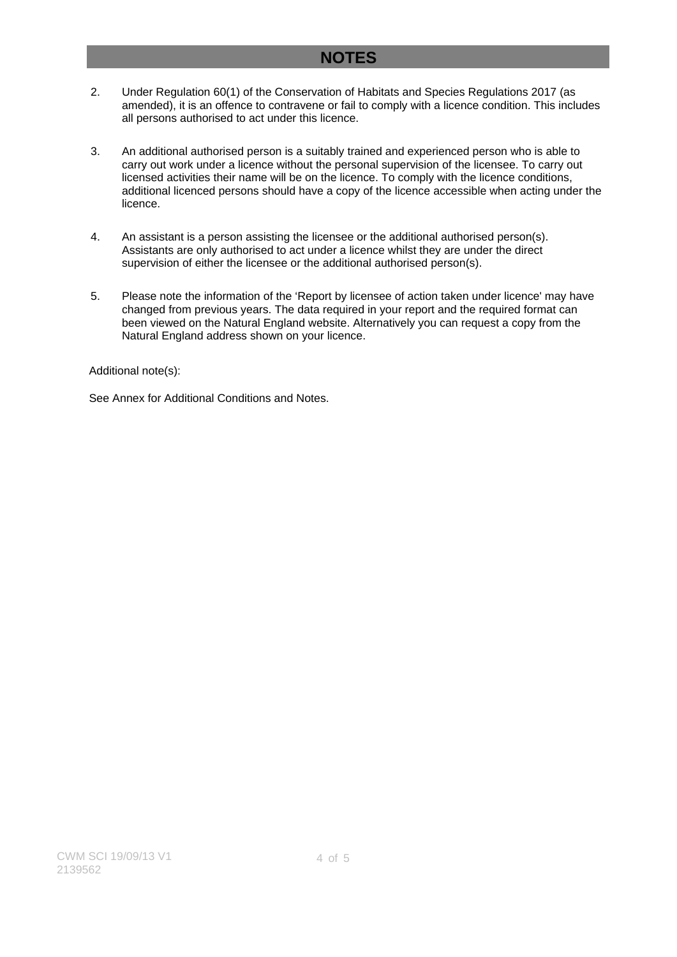### **NOTES**

- 2. Under Regulation 60(1) of the Conservation of Habitats and Species Regulations 2017 (as amended), it is an offence to contravene or fail to comply with a licence condition. This includes all persons authorised to act under this licence.
- 3. An additional authorised person is a suitably trained and experienced person who is able to carry out work under a licence without the personal supervision of the licensee. To carry out licensed activities their name will be on the licence. To comply with the licence conditions, additional licenced persons should have a copy of the licence accessible when acting under the licence.
- 4. An assistant is a person assisting the licensee or the additional authorised person(s). Assistants are only authorised to act under a licence whilst they are under the direct supervision of either the licensee or the additional authorised person(s).
- 5. Please note the information of the 'Report by licensee of action taken under licence' may have changed from previous years. The data required in your report and the required format can been viewed on the Natural England website. Alternatively you can request a copy from the Natural England address shown on your licence.

Additional note(s):

See Annex for Additional Conditions and Notes.